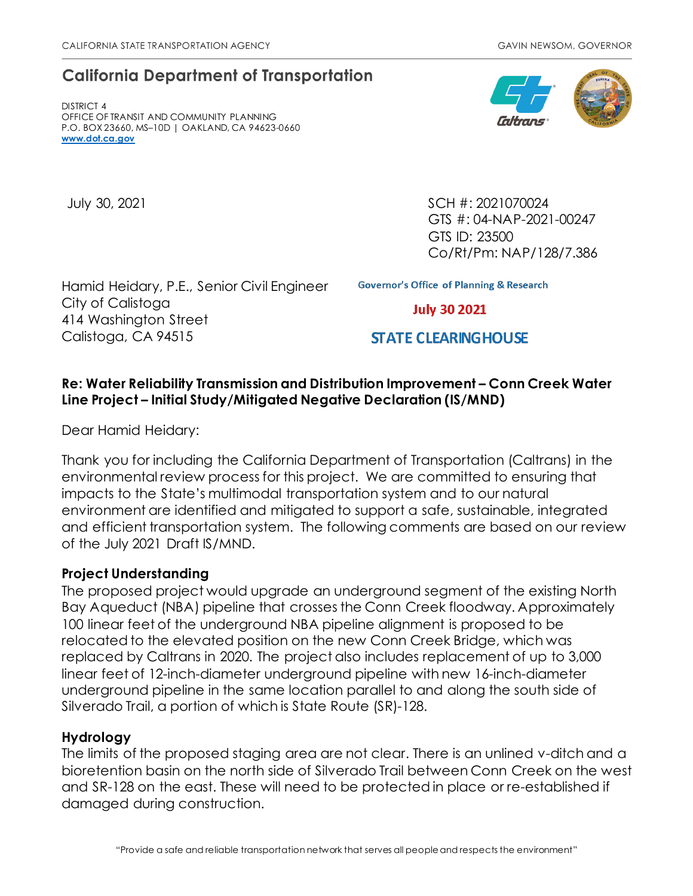# **California Department of Transportation**

DISTRICT 4 OFFICE OF TRANSIT AND COMMUNITY PLANNING P.O. BOX 23660, MS–10D | OAKLAND, CA 94623-0660 **[www.dot.ca.gov](http://www.dot.ca.gov/)**

July 30, 2021 SCH #: 2021070024 GTS #: 04-NAP-2021-00247 GTS ID: 23500 Co/Rt/Pm: NAP/128/7.386

Hamid Heidary, P.E., Senior Civil Engineer City of Calistoga 414 Washington Street Calistoga, CA 94515

**Governor's Office of Planning & Research** 

**July 30 2021** 

# **STATE CLEARING HOUSE**

## **Re: Water Reliability Transmission and Distribution Improvement – Conn Creek Water Line Project – Initial Study/Mitigated Negative Declaration (IS/MND)**

Dear Hamid Heidary:

Thank you for including the California Department of Transportation (Caltrans) in the environmental review process for this project. We are committed to ensuring that impacts to the State's multimodal transportation system and to our natural environment are identified and mitigated to support a safe, sustainable, integrated and efficient transportation system. The following comments are based on our review of the July 2021 Draft IS/MND.

#### **Project Understanding**

The proposed project would upgrade an underground segment of the existing North Bay Aqueduct (NBA) pipeline that crosses the Conn Creek floodway. Approximately 100 linear feet of the underground NBA pipeline alignment is proposed to be relocated to the elevated position on the new Conn Creek Bridge, which was replaced by Caltrans in 2020. The project also includes replacement of up to 3,000 linear feet of 12-inch-diameter underground pipeline with new 16-inch-diameter underground pipeline in the same location parallel to and along the south side of Silverado Trail, a portion of which is State Route (SR)-128.

#### **Hydrology**

The limits of the proposed staging area are not clear. There is an unlined v-ditch and a bioretention basin on the north side of Silverado Trail between Conn Creek on the west and SR-128 on the east. These will need to be protected in place or re-established if damaged during construction.

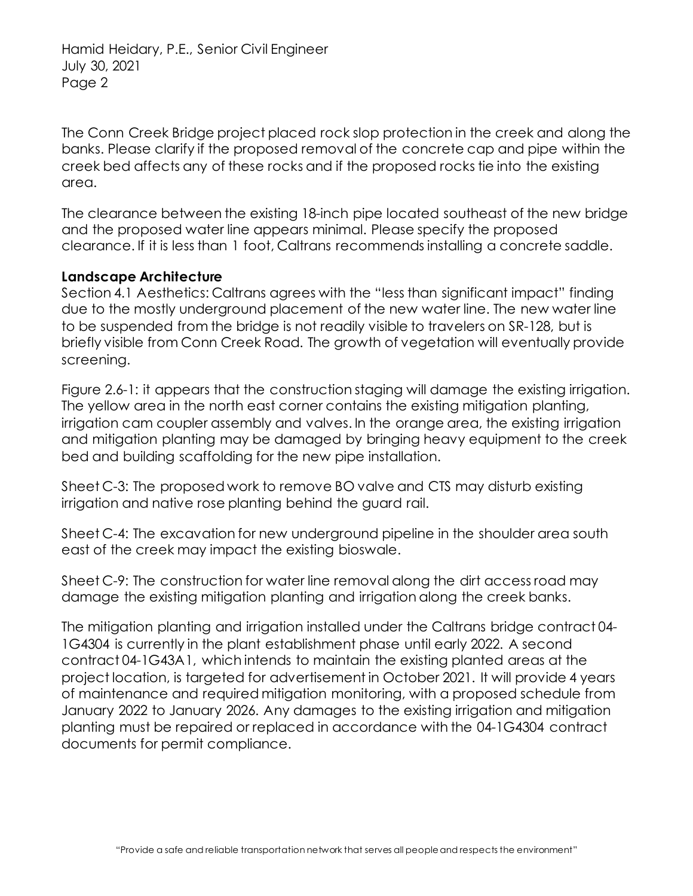Hamid Heidary, P.E., Senior Civil Engineer July 30, 2021 Page 2

The Conn Creek Bridge project placed rock slop protection in the creek and along the banks. Please clarify if the proposed removal of the concrete cap and pipe within the creek bed affects any of these rocks and if the proposed rocks tie into the existing area.

The clearance between the existing 18-inch pipe located southeast of the new bridge and the proposed water line appears minimal. Please specify the proposed clearance. If it is less than 1 foot, Caltrans recommends installing a concrete saddle.

## **Landscape Architecture**

Section 4.1 Aesthetics: Caltrans agrees with the "less than significant impact" finding due to the mostly underground placement of the new water line. The new water line to be suspended from the bridge is not readily visible to travelers on SR-128, but is briefly visible from Conn Creek Road. The growth of vegetation will eventually provide screening.

Figure 2.6-1: it appears that the construction staging will damage the existing irrigation. The yellow area in the north east corner contains the existing mitigation planting, irrigation cam coupler assembly and valves. In the orange area, the existing irrigation and mitigation planting may be damaged by bringing heavy equipment to the creek bed and building scaffolding for the new pipe installation.

Sheet C-3: The proposed work to remove BO valve and CTS may disturb existing irrigation and native rose planting behind the guard rail.

Sheet C-4: The excavation for new underground pipeline in the shoulder area south east of the creek may impact the existing bioswale.

Sheet C-9: The construction for water line removal along the dirt access road may damage the existing mitigation planting and irrigation along the creek banks.

The mitigation planting and irrigation installed under the Caltrans bridge contract 04- 1G4304 is currently in the plant establishment phase until early 2022. A second contract 04-1G43A1, which intends to maintain the existing planted areas at the project location, is targeted for advertisement in October 2021. It will provide 4 years of maintenance and required mitigation monitoring, with a proposed schedule from January 2022 to January 2026. Any damages to the existing irrigation and mitigation planting must be repaired or replaced in accordance with the 04-1G4304 contract documents for permit compliance.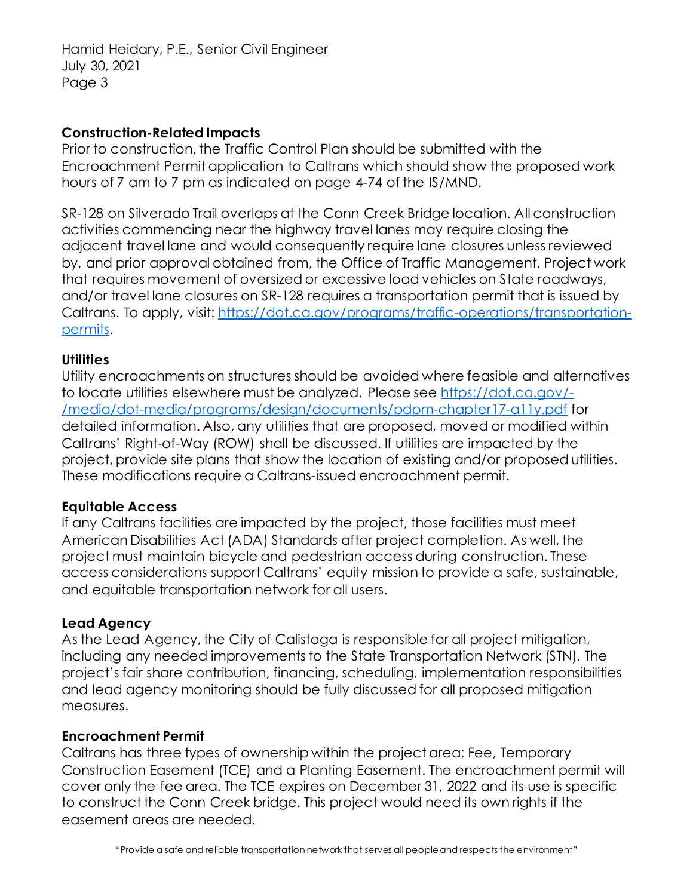Hamid Heidary, P.E., Senior Civil Engineer July 30, 2021 Page 3

#### **Construction-Related Impacts**

Prior to construction, the Traffic Control Plan should be submitted with the Encroachment Permit application to Caltrans which should show the proposed work hours of 7 am to 7 pm as indicated on page 4-74 of the IS/MND.

SR-128 on Silverado Trail overlaps at the Conn Creek Bridge location. All construction activities commencing near the highway travel lanes may require closing the adjacent travel lane and would consequently require lane closures unless reviewed by, and prior approval obtained from, the Office of Traffic Management. Project work that requires movement of oversized or excessive load vehicles on State roadways, and/or travel lane closures on SR-128 requires a transportation permit that is issued by Caltrans. To apply, visit: [https://dot.ca.gov/programs/traffic-operations/transportation](https://dot.ca.gov/programs/traffic-operations/transportation-permits)[permits.](https://dot.ca.gov/programs/traffic-operations/transportation-permits)

## **Utilities**

Utility encroachments on structures should be avoided where feasible and alternatives to locate utilities elsewhere must be analyzed. Please see [https://dot.ca.gov/-](https://dot.ca.gov/-/media/dot-media/programs/design/documents/pdpm-chapter17-a11y.pdf) [/media/dot-media/programs/design/documents/pdpm-chapter17-a11y.pdf](https://dot.ca.gov/-/media/dot-media/programs/design/documents/pdpm-chapter17-a11y.pdf) for detailed information. Also, any utilities that are proposed, moved or modified within Caltrans' Right-of-Way (ROW) shall be discussed. If utilities are impacted by the project, provide site plans that show the location of existing and/or proposed utilities. These modifications require a Caltrans-issued encroachment permit.

#### **Equitable Access**

If any Caltrans facilities are impacted by the project, those facilities must meet American Disabilities Act (ADA) Standards after project completion. As well, the project must maintain bicycle and pedestrian access during construction. These access considerations support Caltrans' equity mission to provide a safe, sustainable, and equitable transportation network for all users.

# **Lead Agency**

As the Lead Agency, the City of Calistoga is responsible for all project mitigation, including any needed improvements to the State Transportation Network (STN). The project's fair share contribution, financing, scheduling, implementation responsibilities and lead agency monitoring should be fully discussed for all proposed mitigation measures.

#### **Encroachment Permit**

Caltrans has three types of ownership within the project area: Fee, Temporary Construction Easement (TCE) and a Planting Easement. The encroachment permit will cover only the fee area. The TCE expires on December 31, 2022 and its use is specific to construct the Conn Creek bridge. This project would need its own rights if the easement areas are needed.